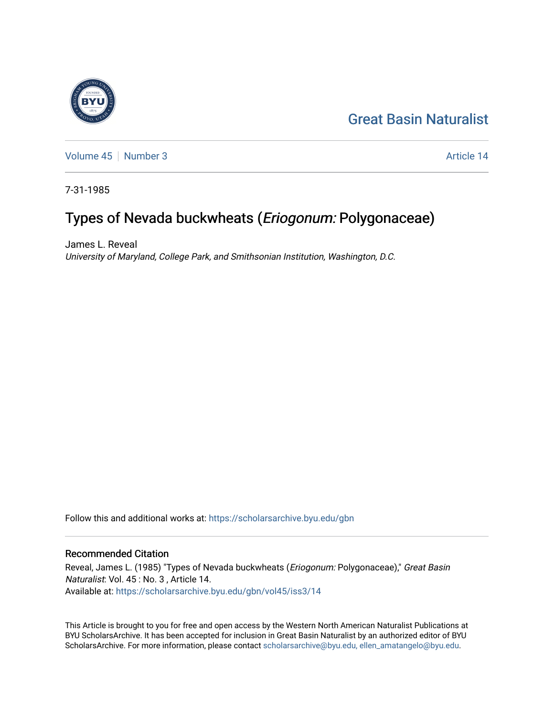## [Great Basin Naturalist](https://scholarsarchive.byu.edu/gbn)

[Volume 45](https://scholarsarchive.byu.edu/gbn/vol45) [Number 3](https://scholarsarchive.byu.edu/gbn/vol45/iss3) Article 14

7-31-1985

# Types of Nevada buckwheats (Eriogonum: Polygonaceae)

James L. Reveal University of Maryland, College Park, and Smithsonian Institution, Washington, D.C.

Follow this and additional works at: [https://scholarsarchive.byu.edu/gbn](https://scholarsarchive.byu.edu/gbn?utm_source=scholarsarchive.byu.edu%2Fgbn%2Fvol45%2Fiss3%2F14&utm_medium=PDF&utm_campaign=PDFCoverPages) 

### Recommended Citation

Reveal, James L. (1985) "Types of Nevada buckwheats (Eriogonum: Polygonaceae)," Great Basin Naturalist: Vol. 45 : No. 3 , Article 14. Available at: [https://scholarsarchive.byu.edu/gbn/vol45/iss3/14](https://scholarsarchive.byu.edu/gbn/vol45/iss3/14?utm_source=scholarsarchive.byu.edu%2Fgbn%2Fvol45%2Fiss3%2F14&utm_medium=PDF&utm_campaign=PDFCoverPages) 

This Article is brought to you for free and open access by the Western North American Naturalist Publications at BYU ScholarsArchive. It has been accepted for inclusion in Great Basin Naturalist by an authorized editor of BYU ScholarsArchive. For more information, please contact [scholarsarchive@byu.edu, ellen\\_amatangelo@byu.edu.](mailto:scholarsarchive@byu.edu,%20ellen_amatangelo@byu.edu)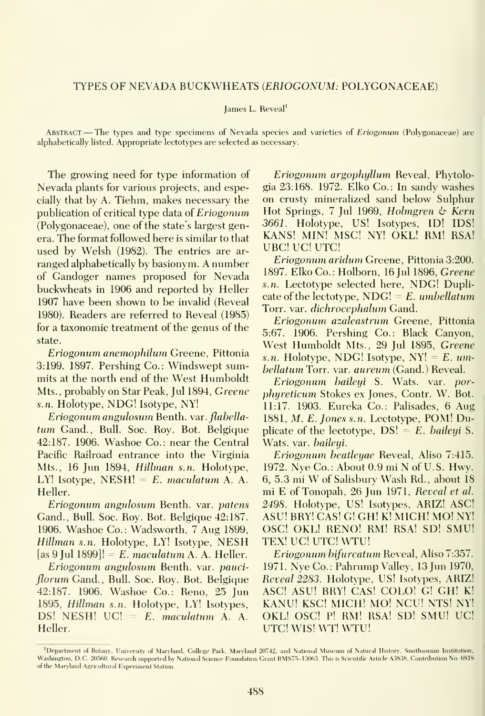#### TYPES OF NEVADA BUCKWHEATS (ERIOGONUM: POLYGONACEAE)

#### James L. Reveal'

ABSTRACT—The types and type specimens of Nevada species and varieties of *Eriogonum* (Polygonaceae) are alphabetically listed. Appropriate lectotypes are selected as necessary.

The growing need for type information of Nevada plants for various projects, and especially that by A. Tiehm, makes necessary the publication of critical type data of Eriogonum (Polygonaceae), one of the state's largest genera. The format followed here is similar to that used by Welsh (1982). The entries are ar ranged alphabetically by basionym. A number of Gandoger names proposed for Nevada buckwheats in 1906 and reported by Heller 1907 have been shown to be invalid (Reveal 1980). Readers are referred to Reveal (1985) for a taxonomic treatment of the genus of the state.

Eriogonum anemophilum Greene, Pittonia 3:199. 1897. Pershing Co.: Windswept summits at the north end of the West Humboldt Mts., probably on Star Peak, Jul 1894, Greene s.n. Holotype, NDG! Isotype, NY!

Eriogonum angulosum Benth. var. flabellatum Gand., Bull. Soc. Roy. Bot. Belgique 42:187. 1906. Washoe Co.: near the Central Pacific Railroad entrance into the Virginia Mts., 16 Jun 1894, Hillman s.n. Holotype, LY! Isotype,  $NESH! = E$ . maculatum A. A. Heller.

Eriogonum angulosum Benth. var. patens Gand., Bull. Soc. Roy. Bot. Belgique 42:187. 1906. Washoe Co.: Wadsworth, 7 Aug 1899, Hillman s.n. Holotype, LY! Isotype, NESH [as 9 Jul 1899]! = E. maculatum A. A. Heller.

Eriogonum angulosum Benth. var. pauci florum Gand., Bull. Soc. Roy. Bot. Belgique 42:187. 1906. Washoe Co.: Reno, 25 Jun 1895, Hillman s.n. Holotvpe, LY! Isotypes, DS! NESH!  $UC = E$ . maculatum A. A. Heller.

Eriogonum argophyUum Reveal, Phytologia 23:168. 1972. Elko Co.: In sandy washes on crusty mineralized sand below Sulphur Hot Springs, 7 Jul 1969, Holmgren & Kern 3661. Holotvpe, US! Isotvpes, ID! IDS! KANS! MIN! MSC! NY! OKL! RM! RSA! UBC! UC! UTC!

Eriogonum aridu7n Greene, Pittonia 3:200. 1897. Elko Co.: Holborn, 16 Jul 1896, Greene s.n. Lectotype selected here, NDG! Duplicate of the lectotype,  $NDG! = E$ . umbellatum Torr. var. dichrocephalum Gand.

Eriogonum azaleastrum Greene, Pittonia 5:67. 1906. Pershing Co.: Black Canyon, West Humboldt Mts., 29 Jul 1895, Greene s.n. Holotype, NDG! Isotype, NY! =  $E$ . umhellatum Torr. var. aureum (Gand.) Reveal.

Eriogonum baileyi S. Wats. var. porphyreticum Stokes ex Jones, Contr. W. Bot. 11:17. 1903. Eureka Co.: Palisades, 6 Aug 1881, M. E.Jones s.n. Lectotype, POM! Duplicate of the lectotype,  $DS! = E$ . baileyi S. Wats. var. *baileyi*.

Eriogonum heatleyae Reveal, Aliso 7:415. 1972. Nye Co.: About 0.9 mi N of U.S. Hwy. 6, 5.3 mi W of Salisbury Wash Rd., about iS mi E of Tonopah, 26 Jun 1971, Reveal et al. 2498. Holotvpe, US! Isotypes, ARIZ! ASC! ASU! BRY! CAS! G! GH! K! MICH! MO! NY! OSC! OKL! RENO! RM! RSA! SD! SMU! TEX! UC! UTC! WTU!

Eriogonum bifurcatum Reveal, Aliso 7:357. 1971. Nye Co. : Pahrump Valley, 13 Jun 1970, Reveal 2283. Holotvpe, US! Isotvpes, ARIZ! ASC! ASU! BRY! CAS! COLO! G! GH! K! KANU! KSC! MICH! MO! NCU! NTS! NY! OKL! OSC! P! RM! RSA! SD! SMU! UC! UTC! WIS! WT! WTU!

<sup>&</sup>lt;sup>1</sup>Department of Botany, University of Maryland, College Park. Maryland 20742, and National Museum of Natural History, Smithsonian Institution, Washington, DC. 20560. Research supported by National Science Foundation Grant BMS75-13063. This is Scientific Article A3838, Contribution No. 6818 of the Maryland Agricultural Experiment Station.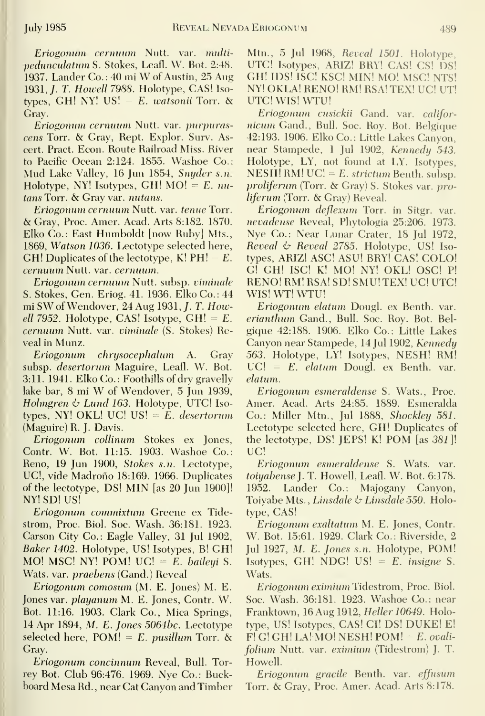Eriogonum cernuum Nutt. var. multipedunculatum S. Stokes, Leafl. W. Bot. 2:48. 1937. Lander Co.: <sup>40</sup> mi W of Austin, <sup>25</sup> Aug 1931, *J. T. Howell 7988.* Holotype, CAS! Isotypes, GH! NY! US! =  $E$ . watsonii Torr. & Gray.

Eriogonum cernuum Nutt. var. purpurascens Torr. & Gray, Kept. Explor. Surv. Ascert. Pract. Econ. Route Railroad Miss. River to Pacific Ocean 2:124. 1855. Washoe Co.: Mud Lake Valley, <sup>16</sup> Jun 1854, Snyder s.n. Holotype, NY! Isotypes, GH!  $MO = E$ . nutans Torr. & Gray var. nutans.

Eriogonum cernuum Nutt. var. tenueTorr. & Gray, Proc. Amer. Acad. Arts 8:182. 1870. Elko Co.: East Humboldt [now Ruby] Mts., 1869, Watson 1036. Lectotype selected here, GH! Duplicates of the lectotype,  $K! PH! = E$ . cernuum Nutt. var. cernuum.

Eriogonum cernuum Nutt. subsp. viminale S. Stokes, Gen. Eriog. 41. 1936. Elko Co.: 44 mi SWofWendover, 24 Aug 1931,/. T. Howell 7952. Holotype, CAS! Isotype, GH! =  $E$ . cernuum Nutt. var. viminale (S. Stokes) Reveal in Munz.

chrysocephalum A. Gray subsp. desertorum Maguire, Leafl. W. Bot. 3:11. 1941. Elko Co. : Foothills of dry gravelly lake bar, <sup>8</sup> mi W of Wendover, <sup>5</sup> jun 1939, Holmgren  $\&$  Lund 163. Holotype, UTC! Isotypes, NY! OKL! UC! US! =  $E$ . desertorum (Maguire) R. J. Davis.

Eriogonum collinum Stokes ex Jones, Contr. W. Bot. 11:15. 1903. Washoe Co.: Reno, 19 Jun 1900, Stokes s.n. Lectotype, UC!, vide Madrono 18:169. 1966. Duplicates of the lectotype, DS! MIN [as 20 Jun 1900]! NY! SD! US!

n Eriogonum commixtum Greene ex Tidestrom, Proc. Biol. Soc. Wash. 36:181. 1923. Carson City Co.: Eagle Valley, 31 Jul 1902, Baker 1402. Holotype, US! Isotypes, B! GH! MO! MSC! NY! POM! UC! =  $E$ . baileyi S. Wats. var. praebens (Gand.) Reveal

<sup>I</sup> Eriogonum comosum (M. E. Jones) M. E. Jones var. playanum M. E. Jones, Contr. W. Bot. 11:16. 1903. Clark Co., Mica Springs, 14 Apr 1894, M. E. Jones  $5064bc$ . Lectotype selected here,  $POM! = E$ . *pusillum* Torr. & Gray.

Eriogonum concinnum Reveal, Bull. Torrey Bot. Club 96:476. 1969. Nye Co.: Buckboard Mesa Rd. , near Cat Canyon and Timber

Mtn., 5 Jul 1968, Reveal 1501. Holotype, UTC! Isotvpes, ARIZ! BRY! CAS! CS! DS! GH! IDS! isC! KSC! MIN! MO! MSC! NTS! NY! OKLA! RENO! RM! RSA! TEX! UC! UT! UTC! WIS! WTU!

Eriogonum cusickii Gand. var. califor nicum Gand., Bull. Soc. Roy. Bot. Belgique 42:193. 1906. Elko Co.: Little Lakes Canyon, near Stampede, 1 Jul 1902, Kennedy 543. Holotype, LY, not found at LY. Isotypes,  $NESH! RM! UCl = E. strictum Benth. subsp.$ proliferum (Torr. & Gray) S. Stokes var. proliferum (Torr. & Gray) Reveal.

Eriogonum deflexum Torr. in Sitgr. var. nevadense Reveal, Phytologia 25:206. 1973. Nye Co.: Near Lunar Crater, 18 Jul 1972, Reveal & Reveal 2785. Holotype, US! Isotypes, ARIZ! ASC! ASU! BRY! CAS! COLO! G! GH! ISC! K! MO! NY! OKL! OSC! P! RENO! RM! RSA! SD! SMU! TEX! UC! UTC! WIS! WT! WTU!

Eriogonum elatum Dougl. ex Benth. var. erianthum Gand., Bull. Soc. Roy. Bot. Bel gique 42:188. 1906. Elko Co.: Little Lakes Canyon near Stampede, 14 Jul 1902, Kennedy 563. Holotype, LY! Isotypes, NESH! RM!  $UC! = E.$  elatum Dougl. ex Benth. var. elatum.

Eriogonum esmeraldense S. Wats., Proc. Amer. Acad. Arts 24:85. 1889. Esmeralda Co.: Miller Mtn., Jul 1888, Shockley 581. Lectotvpe selected here, GH! Duplicates of the lectotvpe, DS! JEPS! K! POM [as 381]\ UC!

Eriogonum esmeraldense S. Wats. var. toiyabense]. T. Howell, Leafl. W. Bot. 6:178. 1952. Lander Co.: Majogany Canyon, Toiyabe Mts., Linsdale  $\&$  Linsdale 550. Holotype, CAS!

Eriogonum exaltatum M. E. Jones, Contr. W. Bot. 15:61. 1929. Clark Co.: Riverside, 2 Jul 1927, M. E. Jones s.n. Holotype, POM! Isotypes, GH! NDG! US!  $= E$ . insigne S. Wats.

Eriogonum eximium Tidestrom, Proc. Biol. Soc. Wash. 36:181. 1923. Washoe Co.: near Franktown, 16 Aug 1912, Heller 10649. Holotype, US! Isotypes, CAS! CI! DS! DUKE! E!  $F! G! G! H! L A! MO! NESH! POM! = E. \text{ *ovali*$ folium Nutt. var. eximium (Tidestrom) J. T. Howell.

Eriogonum gracile Benth. var. effusum Torr. & Grav, Proc. Amer. Acad. Arts 8:178.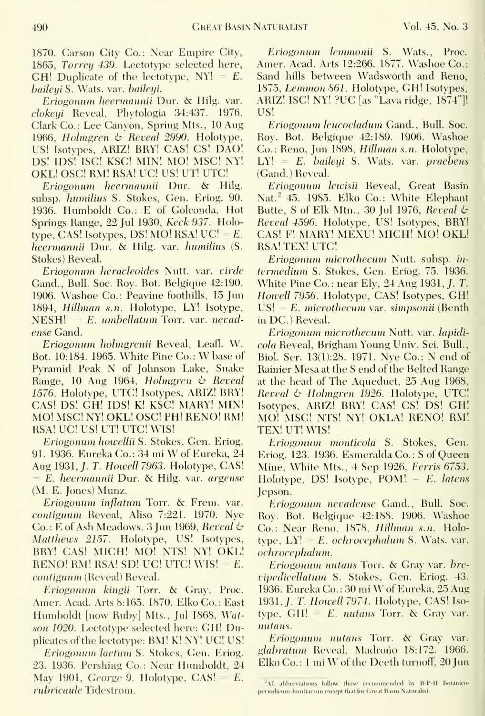1870. Carson City Co.: Near Empire City, 1865, Torrey 439. Lectotype selected here, GH! Duplicate of the lectotype,  $NY! = E$ . baileyi S. Wats. var. baileyi.

Eriogonum heermannii Dur. & Hilg. var. clokeyi Reveal, Phytologia 34:437. 1976. Clark Co.: Lee Canyon, Spring Mts., 10 Aug 1966, Holmgren  $\phi$  Reveal 2990. Holotype, US! Isotvpes, ARIZ! BRY! CAS! CS! DAO! DS! IDS! ISC! KSC! MIN! MO! MSC! NY! OKL! OSC! RM! RSA! UC! US! UT! UTC!

Eriogonum heermannii Dur. & Hilg. subsp. humilius S. Stokes, Gen. Eriog. 90. 1936. Humboldt Co.: E of Golconda, Hot Springs Range, 22 Jul 1930, Keck 937. Holotype, CAS! Isotypes, DS! MO! RSA!  $UC = E$ . heermamiii Dur. & Hilg. var. humilius (S. Stokes) Reveal.

Eriogonum heracleoides Nutt. var. virde Gand., Bull. Soc. Roy. Rot. Belgique 42:190. 1906. Washoe Co.: Peavine foothills, 15 Jun 1894, Hillman s.n. Holotype, LY! Isotype,  $NESH! = E.$  umbellatum Torr. var. nevadense Gand.

Eriogonum holmgrenii Reveal, Leafl. W. Bot. 10:184. 1965. White Pine Co.: W base of Pyramid Peak N of Johnson Lake, Snake Range, 10 Aug 1964, Holmgren & Reveal 1576. Holotvpe, UTC! Isotvpes, ARIZ! BRY! CAS! DS! GH! IDS! K! KSC! MARY! MIN! MO! MSC! NY! OKL! OSC! PH! RENO! RM! RSA! UC! US! UT! UTC! WIS!

Eriogonum howellii S. Stokes, Gen. Eriog. 91. 1936. Eureka Co.: <sup>34</sup> mi W of Eureka, <sup>24</sup> Aug 1931, *J. T. Howell 7963*. Holotype, CAS! E. heermannii Dur. & Hilg. var. argense (M. E. Jones) Munz.

Eriogonum inflatum Torr. &; Frem. var. contiguum Reveal, Aliso 7:221. 1970. Nye Co.: E of Ash Meadows, 3 Jun 1969, Reveal  $\circ$ Matthews 2157. Holotype, US! Isotypes, BRY! CAS! MICH! MO! NTS! NY! OKL! RENO! RM! RSA! SD! UC! UTC! WIS!  $= E$ . contiguurn (Reveal) Reveal.

Eriogonum kingii Torr. & Gray, Proc. Amer. Acad. Arts 8:165. 1870. Elko Co.: East Humboldt [now Ruby] Mts., Jul 1868, Watson 1020. Lectotvpe selected here: GH! Duplicates of the lectotype: BM! K! NY! UC! US!

Eriogonum laetum S. Stokes, Gen. Eriog. 23. 1936. Pershing Co.: Near Humboldt, 24 May 1901, George 9. Holotype,  $CAS! = E$ . rubricaule Tidestrom.

Eriogonum lemmonii S. Wats., Proc. Amer. Acad. Arts 12:266. 1877. Washoe Co.: Sand hills between Wadsworth and Reno, 1875, Lemmon 861. Holotvpe, GH! Isotvpes, ARIZ! ISC! NY! ?UC [as "Lava ridge, 1874"]! US!

Eriogonum leucocladum Gand., Bull. Soc. Roy. Bot. Belgique 42:189. 1906. Washoe Co.: Reno, Jun 1898, Hillman s.n. Holotype,  $LY! = E.$  baileyi S. Wats. var. praebens (Gand.) Reveal.

Eriogonum lewisii Reveal, Great Basin Nat.<sup>2</sup> 45. 1985. Elko Co.: White Elephant Butte, S of Elk Mtn., 30 Jul 1976, Reveal  $\phi$ Reveal 4596. Holotvpe, US! Isotypes, BRY! CAS! F! MARY! MEXU! MICH! MO! OKL! RSA! TEX! UTC!

Eriogonum microthecum Nutt. subsp. in termedium S. Stokes, Gen. Eriog. 75. 1936. White Pine Co.: near Elv, 24 Aug 1931, /. T. Howell 7956. Holotype, CAS! Isotypes, GH!  $US! = E$ . microthecum var. simpsonii (Benth in DC.) Reveal.

Eriogonum microthecum Nutt. var. lapidicola Reveal, Brigham Young Univ. Sci. Bull., Biol. Ser. I3(l):28. 1971. Nye Co.: N end of Rainier Mesa at the S end of the Belted Range at the head of The Aqueduct, 25 Aug 1968, Reveal  $\&$  Holmgren 1926. Holotype, UTC! Isotvpes, ARIZ! BRY! CAS! CS! DS! GH! MO! MSC! NTS! NY! OKLA! RENO! RM! TEX! UT! WIS!

Eriogonum monticola S. Stokes, Gen. Eriog. 123. 1936. Esmeralda Co.: S of Queen Mine, White Mts., 4 Sep 1926, Ferris 6753. Holotype, DS! Isotype,  $POM! = E$ . latens Jepson.

Eriogonum nevadense Gand., Bull. Soc. Roy. Bot. Belgique 42:188. 1906. Washoe Co.: Near Reno, 1878, Hillman s.n. Holotype,  $LY! = E$ . *ochrocephalum* S. Wats. var. ochrocephalum.

Eriogonum nutans Torr. & Gray var. brevipedicellatum S. Stokes, Gen. Eriog. 43. 1936. Eureka Co. : <sup>30</sup> mi W of Eureka, <sup>25</sup> Aug 1931, *J. T. Howell 7974.* Holotype, CAS! Isotype,  $GH! = E$ . *nutans* Torr. & Gray var. nutans.

Eriogonum nutans Torr. & Gray var. gl*abratum* Reveal, Madroño 18:172. 1966. Elko Co.: 1 mi W of the Deeth turnoff, 20 Jun

 $^{2}$ All abbreviations follow those recommended by B-P-H Botanicoperiodicum-huntianum except that for Great Basin Naturalist.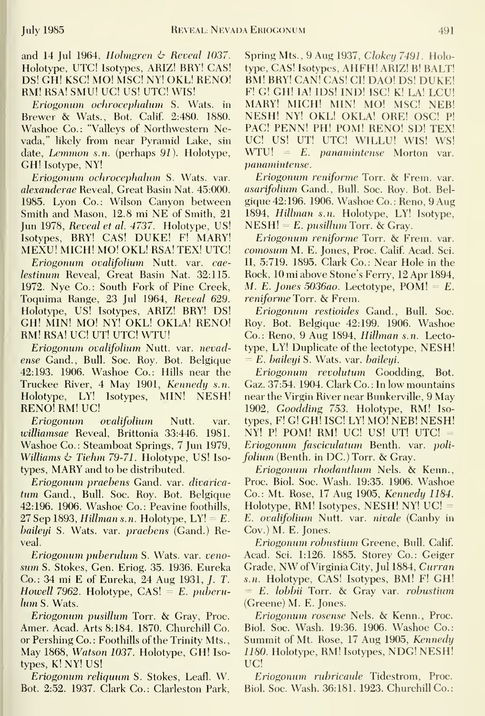and 14 Jul 1964, Holmgren  $\phi$  Reveal 1037. Holotype, UTC! Isotypes, ARIZ! BRY! CAS! DS! GH! KSC! MO! MSC! NY! OKL! RENO! RM! RSA! SMU! UC! US! UTC! WIS!

Eriogonum ochrocephahim S. Wats, in Brewer & Wats., Bot. Calif. 2:480. 1880. Washoe Co.: "Valleys of Northwestern Nevada," likely from near Pyramid Lake, sin date, *Lemmon s.n.* (perhaps 91). Holotype, GH! Isotype, NY!

Eriogonum ochrocephalum S. Wats. var. alexanderae Reveal, Great Basin Nat. 45:000. 1985. Lyon Co.: Wilson Canyon between Smith and Mason, 12.8 mi NE of Smith, <sup>21</sup> Jun 1978, Reveal et al. 4737. Holotype, US! Isotypes, BRY! CAS! DUKE! F! MARY! MEXU! MICH! MO! OKL! RSA! TEX! UTC!

Eriogonum ovalifolium Nutt. var. cae lestinum Reveal, Great Basin Nat. 32:115. 1972. Nye Co.: South Fork of Pine Creek, Toquima Range, 23 Jul 1964, Reveal 629. Holotvpe, US! Isotypes, ARIZ! BRY! DS! GH! MIN! MO! NY! OKL! OKLA! RENO! RM! RSA! UC! UT! UTC! WTU!

Eriogonum ovalifolium Nutt. var. nevadense Gand., Bull. Soc. Roy. Bot. Belgique 42:193. 1906. Washoe Co.: Hills near the Truckee River, 4 May 1901, Kennedy s.n. Holotype, LY! Isotypes, MIN! NESH! **RENO! RM! UC!** 

Eriogonum ovalifolium Nutt. var. williamsae Reveal, Brittonia 33:446. 1981. Washoe Co.: Steamboat Springs, 7 Jun 1979, Williams  $\&$  Tiehm 79-71. Holotype, US! Isotypes, MARY and to be distributed.

Eriogonum praebens Gand. var. divarica tum Gand., Bull. Soc. Roy. Bot. Belgique 42:196. 1906. Washoe Co.: Peavine foothills, 27 Sep 1893, Hillman s.n. Holotype,  $LY! = E$ . baileyi S. Wats. var. *praebens* (Gand.) Reveal.

Eriogonum puberulum S. Wats. var. veno sum S. Stokes, Gen. Eriog. 35. 1936. Eureka Co.: 34 mi E of Eureka, 24 Aug 1931, /. T. Howell 7962. Holotype,  $CAS! = E.$  puberulum S. Wats.

Eriogonum pusillum Torr. & Gray, Proc. Amer. Acad. Arts 8:184. 1870. Churchill Co. or Pershing Co.: Foothills of the Trinity Mts., May 1868, Watson 1037. Holotype, GH! Iso types, K! NY! US!

Eriogonum reliquim S. Stokes, Leafl. W. Bot. 2:52. 1937. Clark Co.: Clarleston Park, Spring Mts., 9 Aug 1937, Clokey 7491. Holotvpe, CAS! Isotypes, AHFH! ARIZ! B! BALT! BM! BRY! CAN! CAS! CI! DAO! DS! DUKE! F! G! GH! lA! IDS! IND! ISC! K! LA! ECU! MARY! MICH! MIN! MO! MSC! NEB! NESH! NY! OKL! OKLA! ORE! OSC! P! PAG! PENN! PH! POM! RENO! SD! TEX! UC! US! UT! UTC! WILLU! WIS! WS!  $WTU! = E.$  *panamintense* Morton var. panamintense

Eriogonum reniforme Torr. & Frem. var. asarifolium Gand., Bull. Soc. Roy. Bot. Bel gique 42:196. 1906. Washoe Co. : Reno, 9 Aug 1894, Hilhnan s.n. Holotype, LY! Isotype,  $NESH! = E.$  pusillum Torr. & Gray.

Eriogonum reniforme Torr. & Frem. var. comosum M. E. Jones, Proc. Calif. Acad. Sci. II, 5:719. 1895. Clark Co.: Near Hole in the Rock, 10 mi above Stone's Ferry, 12 Apr 1894, M. E. Jones 5036ao. Lectotype,  $POM! = E$ . reniforme Torr. & Frem.

Eriogonum restioides Gand., Bull. Soc. Roy. Bot. Belgique 42:199. 1906. Washoe Co.: Reno, 9 Aug 1894, Hilhnan s.n. Lectotype, LY! Duplicate of the lectotype, NESH! = E. baileyi S. Wats. var. baileyi.

Eriogonum revolutum Goodding, Bot. Gaz. 37:54. 1904. Clark Co. : In low mountains near the Virgin River near Bunkerville, 9 May 1902, Goodding 753. Holotype, RM! Iso types, F! G! GH! ISC! LY! MO! NEB! NESH! NY! P! POM! RM! UC! US! UT! UTC! = Eriogonum fasciculatum Benth. var. poli folium (Benth. in DC.) Torr. & Gray.

Eriogonum rhodanthum Nels. & Kenn., Proc. Biol. Soc. Wash. 19:35. 1906. Washoe Co.: Mt. Rose, 17 Aug 1905, Kennedy 1184. Holotype, RM! Isotypes, NESH! NY! UC! = E. ovalifolium Nutt. var. nivale (Canby in Gov.) M. E. Jones.

Eriogonum robustium Greene, Bull. Calif. Acad. Sci. 1:126. 1885. Storey Co.: Geiger Grade, NW of Virginia City, Jul 1884, Curran s.n. Holotype, CAS! Isotypes, BM! F! GH! = E. lobbii Torr. & Gray var. robustium (Greene) M. E. Jones.

Eriogonum rosense Nels. & Kenn., Proc. Biol. Soc. Wash. 19:36. 1906. Washoe Co.: Summit of Mt. Rose, 17 Aug 1905, Kennedy 1180. Holotype, RM! Isotypes, NDG! NESH! UC!

Eriogonum rubricaule Tidestrom, Proc. Biol. Soc. Wash. 36:181. 1923. Churchill Co.: